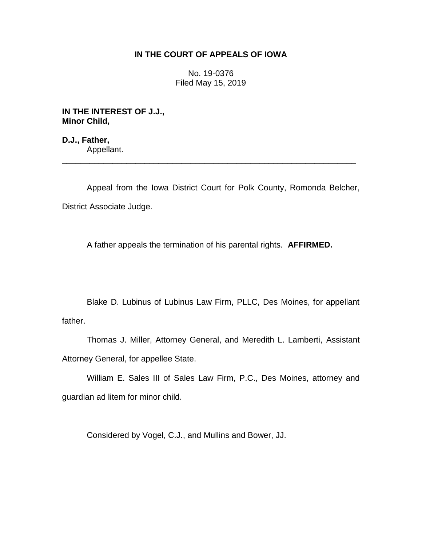# **IN THE COURT OF APPEALS OF IOWA**

No. 19-0376 Filed May 15, 2019

**IN THE INTEREST OF J.J., Minor Child,**

**D.J., Father,** Appellant. \_\_\_\_\_\_\_\_\_\_\_\_\_\_\_\_\_\_\_\_\_\_\_\_\_\_\_\_\_\_\_\_\_\_\_\_\_\_\_\_\_\_\_\_\_\_\_\_\_\_\_\_\_\_\_\_\_\_\_\_\_\_\_\_

Appeal from the Iowa District Court for Polk County, Romonda Belcher, District Associate Judge.

A father appeals the termination of his parental rights. **AFFIRMED.**

Blake D. Lubinus of Lubinus Law Firm, PLLC, Des Moines, for appellant father.

Thomas J. Miller, Attorney General, and Meredith L. Lamberti, Assistant Attorney General, for appellee State.

William E. Sales III of Sales Law Firm, P.C., Des Moines, attorney and guardian ad litem for minor child.

Considered by Vogel, C.J., and Mullins and Bower, JJ.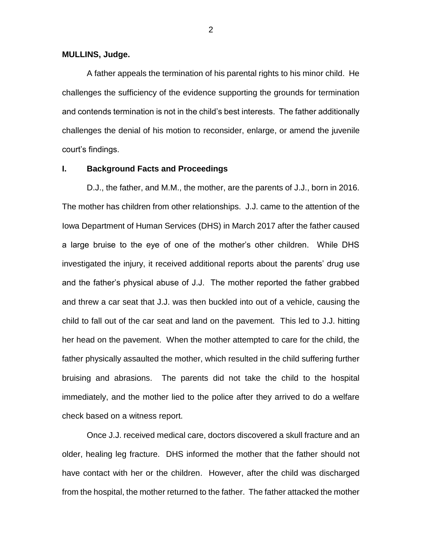#### **MULLINS, Judge.**

A father appeals the termination of his parental rights to his minor child. He challenges the sufficiency of the evidence supporting the grounds for termination and contends termination is not in the child's best interests. The father additionally challenges the denial of his motion to reconsider, enlarge, or amend the juvenile court's findings.

#### **I. Background Facts and Proceedings**

D.J., the father, and M.M., the mother, are the parents of J.J., born in 2016. The mother has children from other relationships. J.J. came to the attention of the Iowa Department of Human Services (DHS) in March 2017 after the father caused a large bruise to the eye of one of the mother's other children. While DHS investigated the injury, it received additional reports about the parents' drug use and the father's physical abuse of J.J. The mother reported the father grabbed and threw a car seat that J.J. was then buckled into out of a vehicle, causing the child to fall out of the car seat and land on the pavement. This led to J.J. hitting her head on the pavement. When the mother attempted to care for the child, the father physically assaulted the mother, which resulted in the child suffering further bruising and abrasions. The parents did not take the child to the hospital immediately, and the mother lied to the police after they arrived to do a welfare check based on a witness report.

Once J.J. received medical care, doctors discovered a skull fracture and an older, healing leg fracture. DHS informed the mother that the father should not have contact with her or the children. However, after the child was discharged from the hospital, the mother returned to the father. The father attacked the mother

2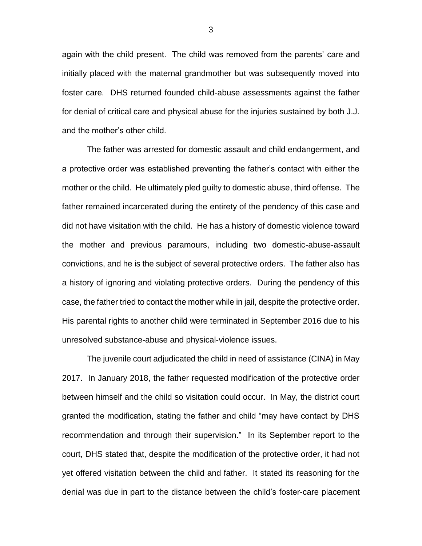again with the child present. The child was removed from the parents' care and initially placed with the maternal grandmother but was subsequently moved into foster care. DHS returned founded child-abuse assessments against the father for denial of critical care and physical abuse for the injuries sustained by both J.J. and the mother's other child.

The father was arrested for domestic assault and child endangerment, and a protective order was established preventing the father's contact with either the mother or the child. He ultimately pled guilty to domestic abuse, third offense. The father remained incarcerated during the entirety of the pendency of this case and did not have visitation with the child. He has a history of domestic violence toward the mother and previous paramours, including two domestic-abuse-assault convictions, and he is the subject of several protective orders. The father also has a history of ignoring and violating protective orders. During the pendency of this case, the father tried to contact the mother while in jail, despite the protective order. His parental rights to another child were terminated in September 2016 due to his unresolved substance-abuse and physical-violence issues.

The juvenile court adjudicated the child in need of assistance (CINA) in May 2017. In January 2018, the father requested modification of the protective order between himself and the child so visitation could occur. In May, the district court granted the modification, stating the father and child "may have contact by DHS recommendation and through their supervision." In its September report to the court, DHS stated that, despite the modification of the protective order, it had not yet offered visitation between the child and father. It stated its reasoning for the denial was due in part to the distance between the child's foster-care placement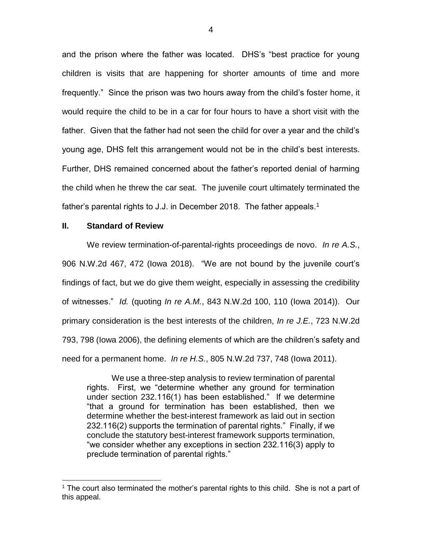and the prison where the father was located. DHS's "best practice for young children is visits that are happening for shorter amounts of time and more frequently." Since the prison was two hours away from the child's foster home, it would require the child to be in a car for four hours to have a short visit with the father. Given that the father had not seen the child for over a year and the child's young age, DHS felt this arrangement would not be in the child's best interests. Further, DHS remained concerned about the father's reported denial of harming the child when he threw the car seat. The juvenile court ultimately terminated the father's parental rights to J.J. in December 2018. The father appeals.<sup>1</sup>

## **II. Standard of Review**

 $\overline{a}$ 

We review termination-of-parental-rights proceedings de novo. *In re A.S.*, 906 N.W.2d 467, 472 (Iowa 2018). "We are not bound by the juvenile court's findings of fact, but we do give them weight, especially in assessing the credibility of witnesses." *Id.* (quoting *In re A.M.*, 843 N.W.2d 100, 110 (Iowa 2014)). Our primary consideration is the best interests of the children, *In re J.E.*, 723 N.W.2d 793, 798 (Iowa 2006), the defining elements of which are the children's safety and need for a permanent home. *In re H.S.*, 805 N.W.2d 737, 748 (Iowa 2011).

We use a three-step analysis to review termination of parental rights. First, we "determine whether any ground for termination under section 232.116(1) has been established." If we determine "that a ground for termination has been established, then we determine whether the best-interest framework as laid out in section 232.116(2) supports the termination of parental rights." Finally, if we conclude the statutory best-interest framework supports termination, "we consider whether any exceptions in section 232.116(3) apply to preclude termination of parental rights."

<sup>&</sup>lt;sup>1</sup> The court also terminated the mother's parental rights to this child. She is not a part of this appeal.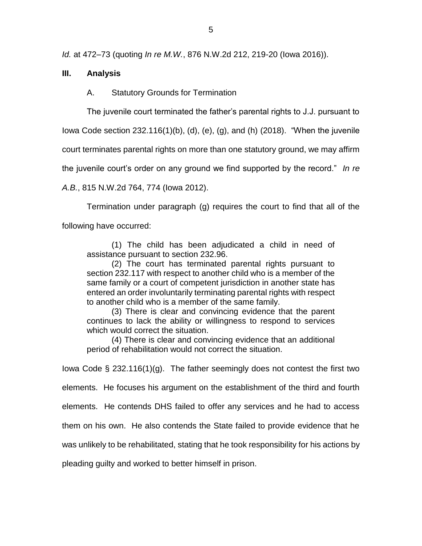*Id.* at 472–73 (quoting *In re M.W.*, 876 N.W.2d 212, 219-20 (Iowa 2016)).

# **III. Analysis**

A. Statutory Grounds for Termination

The juvenile court terminated the father's parental rights to J.J. pursuant to

Iowa Code section 232.116(1)(b), (d), (e), (g), and (h) (2018). "When the juvenile

court terminates parental rights on more than one statutory ground, we may affirm

the juvenile court's order on any ground we find supported by the record." *In re* 

*A.B.*, 815 N.W.2d 764, 774 (Iowa 2012).

Termination under paragraph (g) requires the court to find that all of the following have occurred:

(1) The child has been adjudicated a child in need of assistance pursuant to section 232.96.

(2) The court has terminated parental rights pursuant to section 232.117 with respect to another child who is a member of the same family or a court of competent jurisdiction in another state has entered an order involuntarily terminating parental rights with respect to another child who is a member of the same family.

(3) There is clear and convincing evidence that the parent continues to lack the ability or willingness to respond to services which would correct the situation.

(4) There is clear and convincing evidence that an additional period of rehabilitation would not correct the situation.

Iowa Code § 232.116(1)(g). The father seemingly does not contest the first two

elements. He focuses his argument on the establishment of the third and fourth

elements. He contends DHS failed to offer any services and he had to access

them on his own. He also contends the State failed to provide evidence that he

was unlikely to be rehabilitated, stating that he took responsibility for his actions by

pleading guilty and worked to better himself in prison.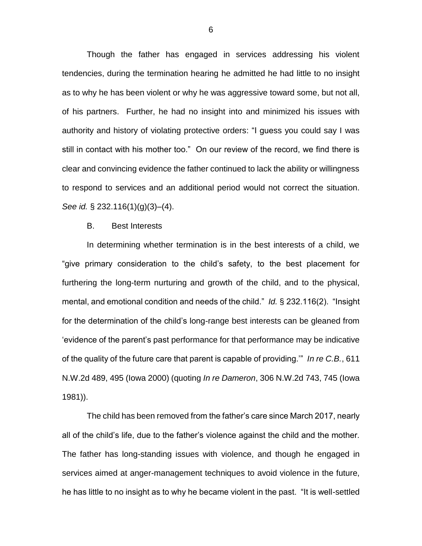Though the father has engaged in services addressing his violent tendencies, during the termination hearing he admitted he had little to no insight as to why he has been violent or why he was aggressive toward some, but not all, of his partners. Further, he had no insight into and minimized his issues with authority and history of violating protective orders: "I guess you could say I was still in contact with his mother too." On our review of the record, we find there is clear and convincing evidence the father continued to lack the ability or willingness to respond to services and an additional period would not correct the situation. *See id.* § 232.116(1)(g)(3)–(4).

### B. Best Interests

In determining whether termination is in the best interests of a child, we "give primary consideration to the child's safety, to the best placement for furthering the long-term nurturing and growth of the child, and to the physical, mental, and emotional condition and needs of the child." *Id.* § 232.116(2). "Insight for the determination of the child's long-range best interests can be gleaned from 'evidence of the parent's past performance for that performance may be indicative of the quality of the future care that parent is capable of providing.'" *In re C.B.*, 611 N.W.2d 489, 495 (Iowa 2000) (quoting *In re Dameron*, 306 N.W.2d 743, 745 (Iowa 1981)).

The child has been removed from the father's care since March 2017, nearly all of the child's life, due to the father's violence against the child and the mother. The father has long-standing issues with violence, and though he engaged in services aimed at anger-management techniques to avoid violence in the future, he has little to no insight as to why he became violent in the past. "It is well-settled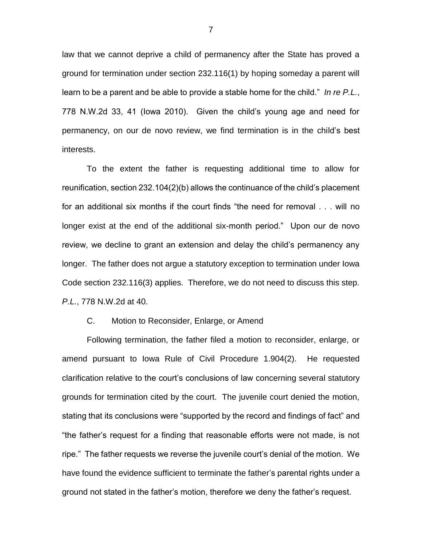law that we cannot deprive a child of permanency after the State has proved a ground for termination under section 232.116(1) by hoping someday a parent will learn to be a parent and be able to provide a stable home for the child." *In re P.L.*, 778 N.W.2d 33, 41 (Iowa 2010). Given the child's young age and need for permanency, on our de novo review, we find termination is in the child's best interests.

To the extent the father is requesting additional time to allow for reunification, section 232.104(2)(b) allows the continuance of the child's placement for an additional six months if the court finds "the need for removal . . . will no longer exist at the end of the additional six-month period." Upon our de novo review, we decline to grant an extension and delay the child's permanency any longer. The father does not argue a statutory exception to termination under Iowa Code section 232.116(3) applies. Therefore, we do not need to discuss this step. *P.L.*, 778 N.W.2d at 40.

## C. Motion to Reconsider, Enlarge, or Amend

Following termination, the father filed a motion to reconsider, enlarge, or amend pursuant to Iowa Rule of Civil Procedure 1.904(2). He requested clarification relative to the court's conclusions of law concerning several statutory grounds for termination cited by the court. The juvenile court denied the motion, stating that its conclusions were "supported by the record and findings of fact" and "the father's request for a finding that reasonable efforts were not made, is not ripe." The father requests we reverse the juvenile court's denial of the motion. We have found the evidence sufficient to terminate the father's parental rights under a ground not stated in the father's motion, therefore we deny the father's request.